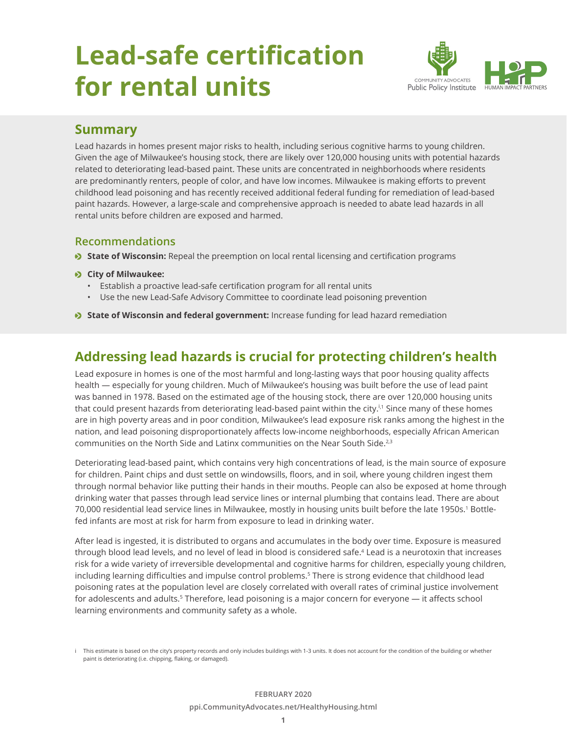# **Lead-safe certification for rental units**



## **Summary**

Lead hazards in homes present major risks to health, including serious cognitive harms to young children. Given the age of Milwaukee's housing stock, there are likely over 120,000 housing units with potential hazards related to deteriorating lead-based paint. These units are concentrated in neighborhoods where residents are predominantly renters, people of color, and have low incomes. Milwaukee is making efforts to prevent childhood lead poisoning and has recently received additional federal funding for remediation of lead-based paint hazards. However, a large-scale and comprehensive approach is needed to abate lead hazards in all rental units before children are exposed and harmed.

## **Recommendations**

**State of Wisconsin:** Repeal the preemption on local rental licensing and certification programs

#### $\bullet$  City of Milwaukee:

- Establish a proactive lead-safe certification program for all rental units
- Use the new Lead-Safe Advisory Committee to coordinate lead poisoning prevention
- **State of Wisconsin and federal government:** Increase funding for lead hazard remediation

# **Addressing lead hazards is crucial for protecting children's health**

Lead exposure in homes is one of the most harmful and long-lasting ways that poor housing quality affects health — especially for young children. Much of Milwaukee's housing was built before the use of lead paint was banned in 1978. Based on the estimated age of the housing stock, there are over 120,000 housing units that could present hazards from deteriorating lead-based paint within the city.<sup>i,1</sup> Since many of these homes are in high poverty areas and in poor condition, Milwaukee's lead exposure risk ranks among the highest in the nation, and lead poisoning disproportionately affects low-income neighborhoods, especially African American communities on the North Side and Latinx communities on the Near South Side.<sup>2,3</sup>

Deteriorating lead-based paint, which contains very high concentrations of lead, is the main source of exposure for children. Paint chips and dust settle on windowsills, floors, and in soil, where young children ingest them through normal behavior like putting their hands in their mouths. People can also be exposed at home through drinking water that passes through lead service lines or internal plumbing that contains lead. There are about 70,000 residential lead service lines in Milwaukee, mostly in housing units built before the late 1950s.1 Bottlefed infants are most at risk for harm from exposure to lead in drinking water.

After lead is ingested, it is distributed to organs and accumulates in the body over time. Exposure is measured through blood lead levels, and no level of lead in blood is considered safe.<sup>4</sup> Lead is a neurotoxin that increases risk for a wide variety of irreversible developmental and cognitive harms for children, especially young children, including learning difficulties and impulse control problems.<sup>5</sup> There is strong evidence that childhood lead poisoning rates at the population level are closely correlated with overall rates of criminal justice involvement for adolescents and adults.<sup>5</sup> Therefore, lead poisoning is a major concern for everyone — it affects school learning environments and community safety as a whole.

i This estimate is based on the city's property records and only includes buildings with 1-3 units. It does not account for the condition of the building or whether paint is deteriorating (i.e. chipping, flaking, or damaged).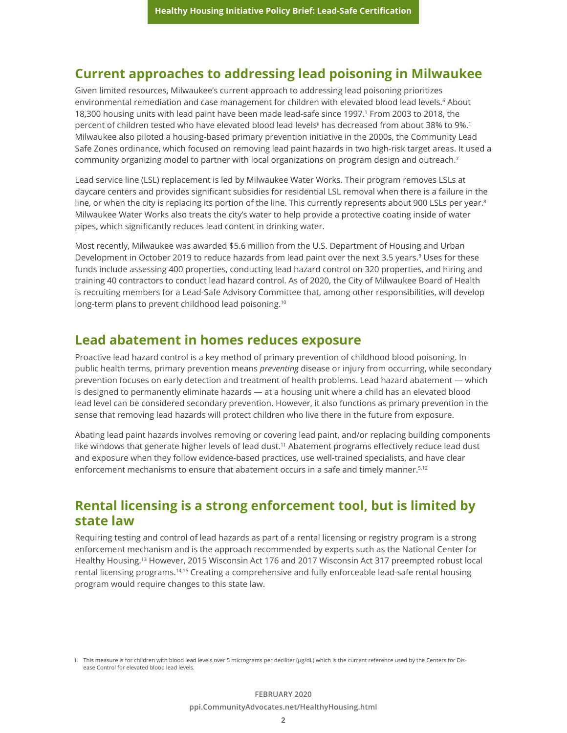## **Current approaches to addressing lead poisoning in Milwaukee**

Given limited resources, Milwaukee's current approach to addressing lead poisoning prioritizes environmental remediation and case management for children with elevated blood lead levels.<sup>6</sup> About 18,300 housing units with lead paint have been made lead-safe since 1997.1 From 2003 to 2018, the percent of children tested who have elevated blood lead levels<sup>ii</sup> has decreased from about 38% to 9%.<sup>1</sup> Milwaukee also piloted a housing-based primary prevention initiative in the 2000s, the Community Lead Safe Zones ordinance, which focused on removing lead paint hazards in two high-risk target areas. It used a community organizing model to partner with local organizations on program design and outreach.7

Lead service line (LSL) replacement is led by Milwaukee Water Works. Their program removes LSLs at daycare centers and provides significant subsidies for residential LSL removal when there is a failure in the line, or when the city is replacing its portion of the line. This currently represents about 900 LSLs per year.<sup>8</sup> Milwaukee Water Works also treats the city's water to help provide a protective coating inside of water pipes, which significantly reduces lead content in drinking water.

Most recently, Milwaukee was awarded \$5.6 million from the U.S. Department of Housing and Urban Development in October 2019 to reduce hazards from lead paint over the next 3.5 years.<sup>9</sup> Uses for these funds include assessing 400 properties, conducting lead hazard control on 320 properties, and hiring and training 40 contractors to conduct lead hazard control. As of 2020, the City of Milwaukee Board of Health is recruiting members for a Lead-Safe Advisory Committee that, among other responsibilities, will develop long-term plans to prevent childhood lead poisoning.<sup>10</sup>

## **Lead abatement in homes reduces exposure**

Proactive lead hazard control is a key method of primary prevention of childhood blood poisoning. In public health terms, primary prevention means *preventing* disease or injury from occurring, while secondary prevention focuses on early detection and treatment of health problems. Lead hazard abatement — which is designed to permanently eliminate hazards — at a housing unit where a child has an elevated blood lead level can be considered secondary prevention. However, it also functions as primary prevention in the sense that removing lead hazards will protect children who live there in the future from exposure.

Abating lead paint hazards involves removing or covering lead paint, and/or replacing building components like windows that generate higher levels of lead dust.<sup>11</sup> Abatement programs effectively reduce lead dust and exposure when they follow evidence-based practices, use well-trained specialists, and have clear enforcement mechanisms to ensure that abatement occurs in a safe and timely manner.<sup>5,12</sup>

## **Rental licensing is a strong enforcement tool, but is limited by state law**

Requiring testing and control of lead hazards as part of a rental licensing or registry program is a strong enforcement mechanism and is the approach recommended by experts such as the National Center for Healthy Housing.13 However, 2015 Wisconsin Act 176 and 2017 Wisconsin Act 317 preempted robust local rental licensing programs.14,15 Creating a comprehensive and fully enforceable lead-safe rental housing program would require changes to this state law.

ii This measure is for children with blood lead levels over 5 micrograms per deciliter (μg/dL) which is the current reference used by the Centers for Disease Control for elevated blood lead levels.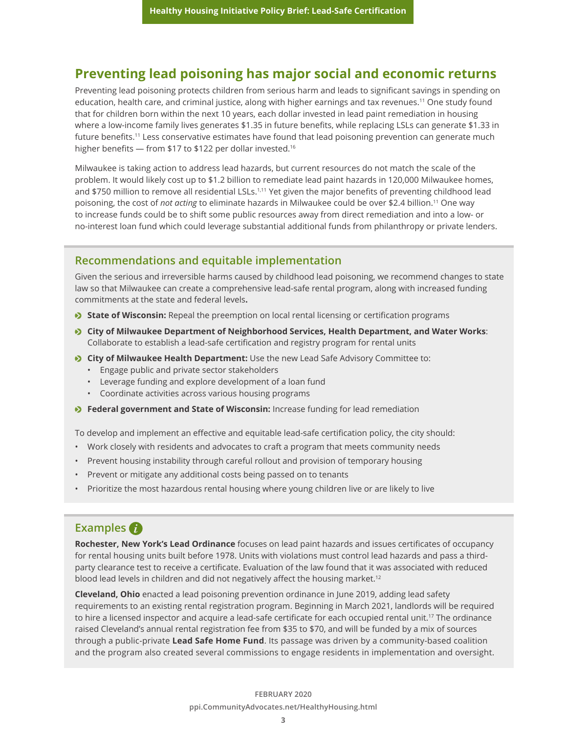## **Preventing lead poisoning has major social and economic returns**

Preventing lead poisoning protects children from serious harm and leads to significant savings in spending on education, health care, and criminal justice, along with higher earnings and tax revenues.11 One study found that for children born within the next 10 years, each dollar invested in lead paint remediation in housing where a low-income family lives generates \$1.35 in future benefits, while replacing LSLs can generate \$1.33 in future benefits.<sup>11</sup> Less conservative estimates have found that lead poisoning prevention can generate much higher benefits — from \$17 to \$122 per dollar invested.<sup>16</sup>

Milwaukee is taking action to address lead hazards, but current resources do not match the scale of the problem. It would likely cost up to \$1.2 billion to remediate lead paint hazards in 120,000 Milwaukee homes, and \$750 million to remove all residential LSLs.<sup>1,11</sup> Yet given the major benefits of preventing childhood lead poisoning, the cost of *not acting* to eliminate hazards in Milwaukee could be over \$2.4 billion.11 One way to increase funds could be to shift some public resources away from direct remediation and into a low- or no-interest loan fund which could leverage substantial additional funds from philanthropy or private lenders.

## **Recommendations and equitable implementation**

Given the serious and irreversible harms caused by childhood lead poisoning, we recommend changes to state law so that Milwaukee can create a comprehensive lead-safe rental program, along with increased funding commitments at the state and federal levels**.**

- **State of Wisconsin:** Repeal the preemption on local rental licensing or certification programs
- **City of Milwaukee Department of Neighborhood Services, Health Department, and Water Works:** Collaborate to establish a lead-safe certification and registry program for rental units
- **City of Milwaukee Health Department:** Use the new Lead Safe Advisory Committee to:
	- Engage public and private sector stakeholders
	- Leverage funding and explore development of a loan fund
	- Coordinate activities across various housing programs
- **Federal government and State of Wisconsin:** Increase funding for lead remediation

To develop and implement an effective and equitable lead-safe certification policy, the city should:

- Work closely with residents and advocates to craft a program that meets community needs
- Prevent housing instability through careful rollout and provision of temporary housing
- Prevent or mitigate any additional costs being passed on to tenants
- Prioritize the most hazardous rental housing where young children live or are likely to live

## **Examples**

**Rochester, New York's Lead Ordinance** focuses on lead paint hazards and issues certificates of occupancy for rental housing units built before 1978. Units with violations must control lead hazards and pass a thirdparty clearance test to receive a certificate. Evaluation of the law found that it was associated with reduced blood lead levels in children and did not negatively affect the housing market.<sup>12</sup>

**Cleveland, Ohio** enacted a lead poisoning prevention ordinance in June 2019, adding lead safety requirements to an existing rental registration program. Beginning in March 2021, landlords will be required to hire a licensed inspector and acquire a lead-safe certificate for each occupied rental unit.17 The ordinance raised Cleveland's annual rental registration fee from \$35 to \$70, and will be funded by a mix of sources through a public-private **Lead Safe Home Fund**. Its passage was driven by a community-based coalition and the program also created several commissions to engage residents in implementation and oversight.